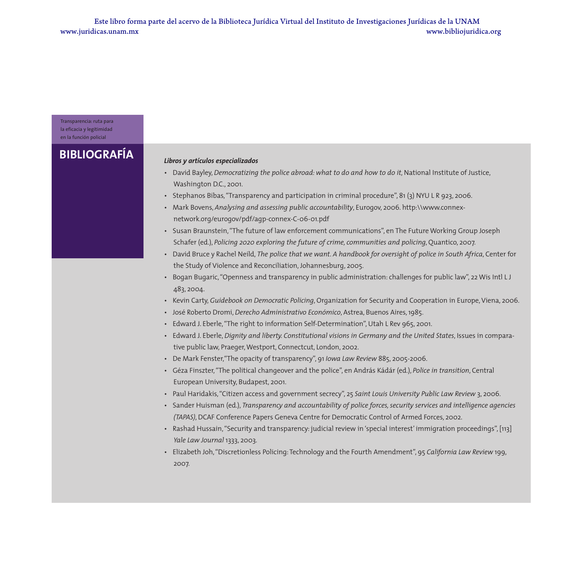Transparencia: ruta para la eficacia y legitimidad en la función policial

## **BIBLIOGRAFÍA** *Libros y artículos especializados*

- David Bayley, *Democratizing the police abroad: what to do and how to do it*, National Institute of Justice, Washington D.C., 2001.
- Stephanos Bibas, "Transparency and participation in criminal procedure", 81 (3) NYU L R 923, 2006.
- Mark Bovens, *Analysing and assessing public accountability*, Eurogov, 2006. http:\\www.connexnetwork.org/eurogov/pdf/agp-connex-C-06-01.pdf
- Susan Braunstein, "The future of law enforcement communications", en The Future Working Group Joseph Schafer (ed.), *Policing 2020 exploring the future of crime, communities and policing*, Quantico, 2007.
- David Bruce y Rachel Neild, *The police that we want. A handbook for oversight of police in South Africa*, Center for the Study of Violence and Reconciliation, Johannesburg, 2005.
- Bogan Bugaric, "Openness and transparency in public administration: challenges for public law", 22 Wis Intl L J 483, 2004.
- Kevin Carty, *Guidebook on Democratic Policing*, Organization for Security and Cooperation in Europe, Viena, 2006.
- José Roberto Dromi, *Derecho Administrativo Económico*, Astrea, Buenos Aires, 1985.
- Edward J. Eberle, "The right to information Self-Determination", Utah L Rev 965, 2001.
- Edward J. Eberle, *Dignity and liberty. Constitutional visions in Germany and the United States*, Issues in comparative public law, Praeger, Westport, Connectcut, London, 2002.
- De Mark Fenster,"The opacity of transparency", 91 *Iowa Law Review* 885, 2005-2006.
- Géza Finszter, "The political changeover and the police", en András Kádár (ed.), *Police in transition*, Central European University, Budapest, 2001.
- Paul Haridakis, "Citizen access and government secrecy", 25 *Saint Louis University Public Law Review* 3, 2006.
- Sander Huisman (ed.), *Transparency and accountability of police forces, security services and intelligence agencies (TAPAS)*, DCAF Conference Papers Geneva Centre for Democratic Control of Armed Forces, 2002.
- Rashad Hussain, "Security and transparency: judicial review in 'special interest' immigration proceedings", [113] *Yale Law Journal* 1333, 2003.
- Elizabeth Joh, "Discretionless Policing: Technology and the Fourth Amendment", 95 *California Law Review* 199, 2007.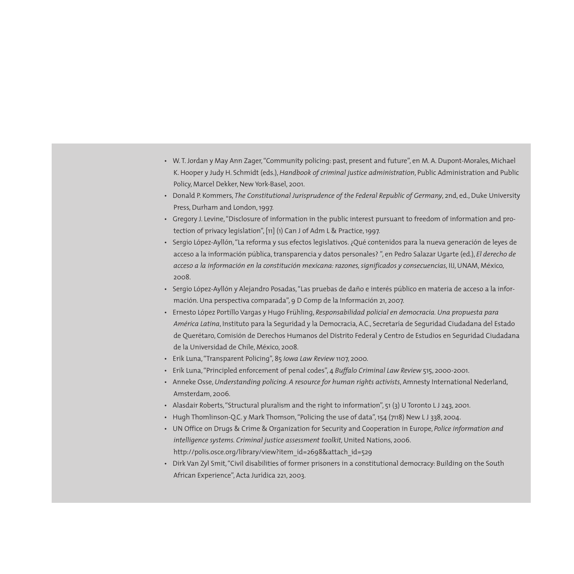- W. T. Jordan y May Ann Zager, "Community policing: past, present and future", en M. A. Dupont-Morales, Michael K. Hooper y Judy H. Schmidt (eds.),*Handbook of criminal justice administration*, Public Administration and Public Policy, Marcel Dekker, New York-Basel, 2001.
- Donald P. Kommers, *The Constitutional Jurisprudence of the Federal Republic of Germany*, 2nd, ed., Duke University Press, Durham and London, 1997.
- Gregory J. Levine, "Disclosure of information in the public interest pursuant to freedom of information and protection of privacy legislation", [11] (1) Can J of Adm L & Practice, 1997.
- Sergio López-Ayllón, "La reforma y sus efectos legislativos. ¿Qué contenidos para la nueva generación de leyes de acceso a la información pública, transparencia y datos personales? ", en Pedro Salazar Ugarte (ed.), *El derecho de acceso a la información en la constitución mexicana: razones, significados y consecuencias*, IIJ, UNAM, México, 2008.
- Sergio López-Ayllón y Alejandro Posadas, "Las pruebas de daño e interés público en materia de acceso a la información. Una perspectiva comparada", 9 D Comp de la Información 21, 2007.
- Ernesto López Portillo Vargas y Hugo Frühling, *Responsabilidad policial en democracia. Una propuesta para América Latina*, Instituto para la Seguridad y la Democracia, A.C., Secretaría de Seguridad Ciudadana del Estado de Querétaro, Comisión de Derechos Humanos del Distrito Federal y Centro de Estudios en Seguridad Ciudadana de la Universidad de Chile, México, 2008.
- Erik Luna, "Transparent Policing", 85 *Iowa Law Review* 1107, 2000.
- Erik Luna, "Principled enforcement of penal codes", 4 *Buffalo Criminal Law Review* 515, 2000-2001.
- Anneke Osse, *Understanding policing*. *A resource for human rights activists*, Amnesty International Nederland, Amsterdam, 2006.
- Alasdair Roberts, "Structural pluralism and the right to information", 51 (3) U Toronto LJ 243, 2001.
- Hugh Thomlinson-Q.C. y Mark Thomson, "Policing the use of data", 154 (7118) New L J 338, 2004.
- UN Office on Drugs & Crime & Organization for Security and Cooperation in Europe, *Police information and intelligence systems. Criminal justice assessment toolkit*, United Nations, 2006. http://polis.osce.org/library/view?item\_id=2698&attach\_id=529
- Dirk Van Zyl Smit, "Civil disabilities of former prisoners in a constitutional democracy: Building on the South African Experience", Acta Jurídica 221, 2003.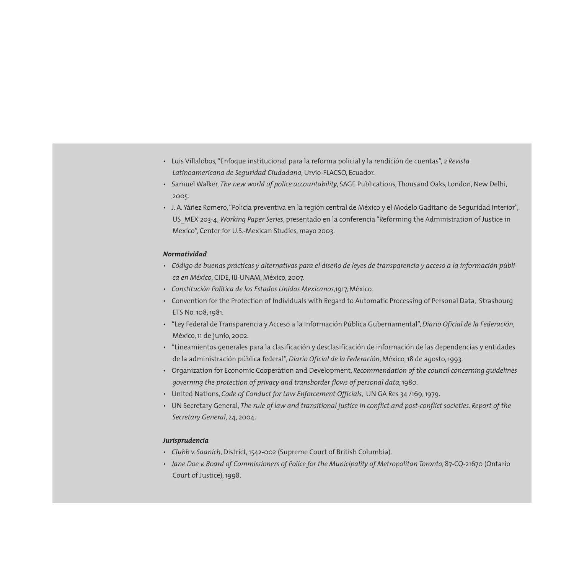- Luis Villalobos, "Enfoque institucional para la reforma policial y la rendición de cuentas", 2 *Revista Latinoamericana de Seguridad Ciudadana*, Urvio-FLACSO, Ecuador.
- Samuel Walker, *The new world of police accountability*, SAGE Publications, Thousand Oaks, London, New Delhi, 2005.
- J. A. Yáñez Romero, "Policía preventiva en la región central de México y el Modelo Gaditano de Seguridad Interior", US\_MEX 203-4, *Working Paper Series*, presentado en la conferencia "Reforming the Administration of Justice in Mexico", Center for U.S.-Mexican Studies, mayo 2003.

## *Normatividad*

- *Código de buenas prácticas y alternativas para el diseño de leyes de transparencia y acceso a la información pública en México*, CIDE, IIJ-UNAM, México, 2007.
- *Constitución Política de los Estados Unidos Mexicanos*,1917, México.
- Convention for the Protection of Individuals with Regard to Automatic Processing of Personal Data, Strasbourg ETS No. 108, 1981.
- "Ley Federal de Transparencia y Acceso a la Información Pública Gubernamental",*Diario Oficial de la Federación*, México, 11 de junio, 2002.
- "Lineamientos generales para la clasificación y desclasificación de información de las dependencias y entidades de la administración pública federal", *Diario Oficial de la Federación*, México, 18 de agosto, 1993.
- Organization for Economic Cooperation and Development, *Recommendation of the council concerning guidelines governing the protection of privacy and transborder flows of personal data*, 1980.
- United Nations, *Code of Conduct for Law Enforcement Officials*, UN GA Res 34 /169, 1979.
- UN Secretary General, *The rule of law and transitional justice in conflict and post-conflict societies. Report of the Secretary General*, 24, 2004.

## *Jurisprudencia*

- *Clubb v. Saanich*, District, 1542-002 (Supreme Court of British Columbia).
- *Jane Doe v. Board of Commissioners of Police for the Municipality of Metropolitan Toronto*, 87-CQ-21670 (Ontario Court of Justice), 1998.